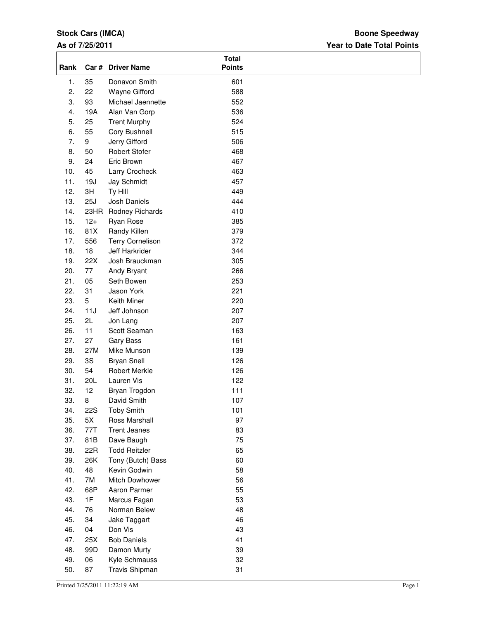## **Stock Cars (IMCA)**

## **As of 7/25/2011**

## **Year to Date Total Points Boone Speedway**

| Rank |            | Car # Driver Name       | <b>Total</b><br><b>Points</b> |  |
|------|------------|-------------------------|-------------------------------|--|
| 1.   | 35         | Donavon Smith           | 601                           |  |
| 2.   | 22         | Wayne Gifford           | 588                           |  |
| 3.   | 93         | Michael Jaennette       | 552                           |  |
| 4.   | 19A        | Alan Van Gorp           | 536                           |  |
| 5.   | 25         | <b>Trent Murphy</b>     | 524                           |  |
| 6.   | 55         | Cory Bushnell           | 515                           |  |
| 7.   | 9          | Jerry Gifford           | 506                           |  |
| 8.   | 50         | <b>Robert Stofer</b>    | 468                           |  |
| 9.   | 24         | Eric Brown              | 467                           |  |
| 10.  | 45         | Larry Crocheck          | 463                           |  |
| 11.  | 19J        | Jay Schmidt             | 457                           |  |
| 12.  | 3H         | Ty Hill                 | 449                           |  |
| 13.  | 25J        | Josh Daniels            | 444                           |  |
| 14.  | 23HR       | Rodney Richards         | 410                           |  |
| 15.  | $12+$      | Ryan Rose               | 385                           |  |
| 16.  | 81X        | Randy Killen            | 379                           |  |
| 17.  | 556        | <b>Terry Cornelison</b> | 372                           |  |
| 18.  | 18         | Jeff Harkrider          | 344                           |  |
| 19.  | 22X        | Josh Brauckman          | 305                           |  |
| 20.  | 77         | Andy Bryant             | 266                           |  |
| 21.  | 05         | Seth Bowen              | 253                           |  |
| 22.  | 31         | Jason York              | 221                           |  |
| 23.  | 5          | Keith Miner             | 220                           |  |
| 24.  | 11J        | Jeff Johnson            | 207                           |  |
| 25.  | 2L         | Jon Lang                | 207                           |  |
| 26.  | 11         | Scott Seaman            | 163                           |  |
| 27.  | 27         | Gary Bass               | 161                           |  |
| 28.  | 27M        | Mike Munson             | 139                           |  |
| 29.  | 3S         | <b>Bryan Snell</b>      | 126                           |  |
| 30.  | 54         | <b>Robert Merkle</b>    | 126                           |  |
| 31.  | <b>20L</b> | Lauren Vis              | 122                           |  |
| 32.  | 12         | Bryan Trogdon           | 111                           |  |
| 33.  | 8          | David Smith             | 107                           |  |
| 34.  | <b>22S</b> | <b>Toby Smith</b>       | 101                           |  |
| 35.  | 5X         | Ross Marshall           | 97                            |  |
| 36.  | 77T        | <b>Trent Jeanes</b>     | 83                            |  |
| 37.  | 81B        | Dave Baugh              | 75                            |  |
| 38.  | 22R        | <b>Todd Reitzler</b>    | 65                            |  |
| 39.  | 26K        | Tony (Butch) Bass       | 60                            |  |
| 40.  | 48         | Kevin Godwin            | 58                            |  |
| 41.  | 7M         | Mitch Dowhower          | 56                            |  |
| 42.  | 68P        | Aaron Parmer            | 55                            |  |
| 43.  | 1F         | Marcus Fagan            | 53                            |  |
| 44.  | 76         | Norman Belew            | 48                            |  |
| 45.  | 34         | Jake Taggart            | 46                            |  |
| 46.  | 04         | Don Vis                 | 43                            |  |
| 47.  | 25X        | <b>Bob Daniels</b>      | 41                            |  |
| 48.  | 99D        | Damon Murty             | 39                            |  |
| 49.  | 06         | Kyle Schmauss           | 32                            |  |
| 50.  | 87         | Travis Shipman          | 31                            |  |